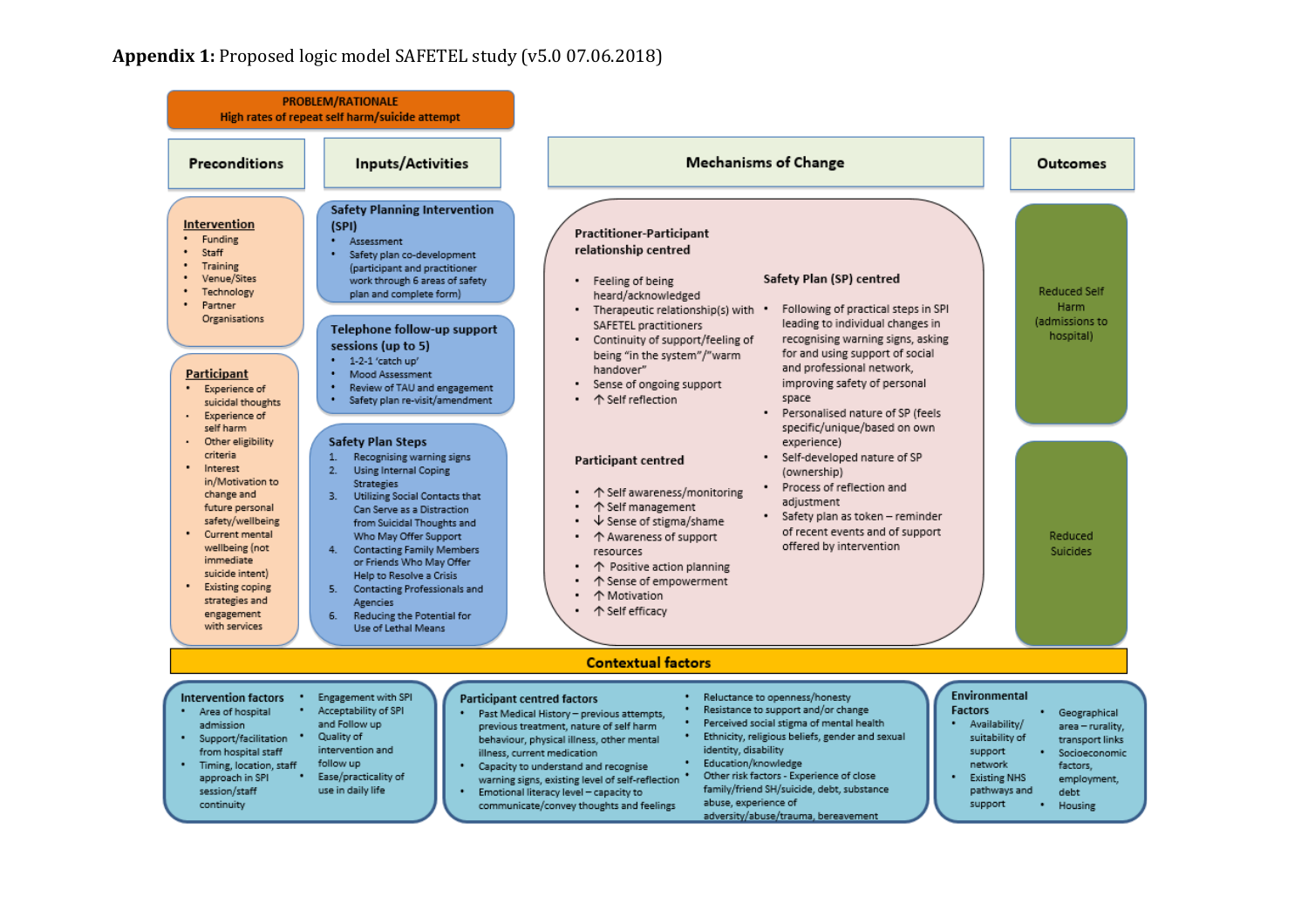## **Appendix 1:** Proposed logic model SAFETEL study (v5.0 07.06.2018)

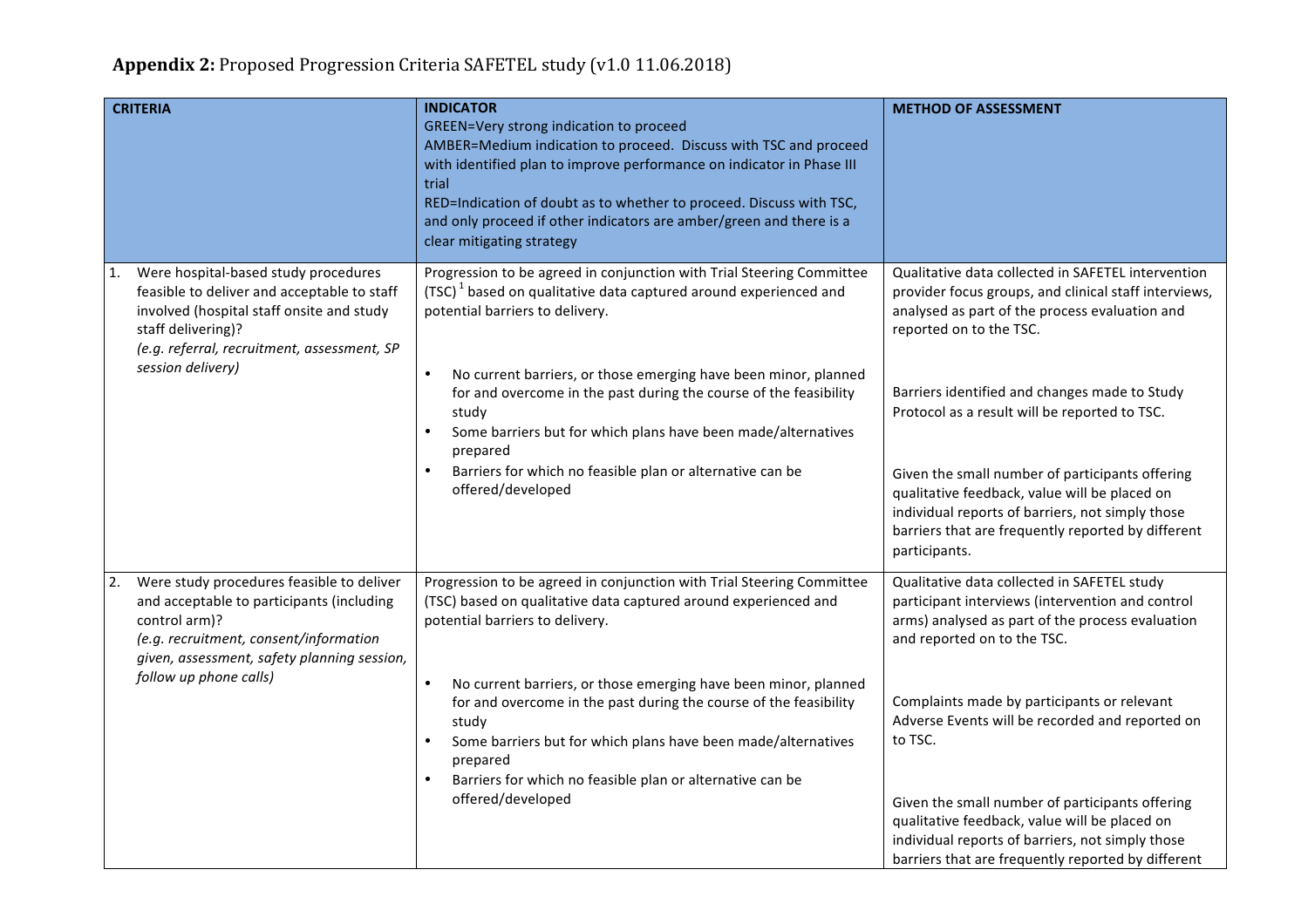| <b>CRITERIA</b>                                                                                                                                                                                                                  | <b>INDICATOR</b><br>GREEN=Very strong indication to proceed<br>AMBER=Medium indication to proceed. Discuss with TSC and proceed<br>with identified plan to improve performance on indicator in Phase III<br>trial<br>RED=Indication of doubt as to whether to proceed. Discuss with TSC,<br>and only proceed if other indicators are amber/green and there is a<br>clear mitigating strategy                                                                                                                          | <b>METHOD OF ASSESSMENT</b>                                                                                                                                                                                                                                                                                                                                                                                                                                                                                               |
|----------------------------------------------------------------------------------------------------------------------------------------------------------------------------------------------------------------------------------|-----------------------------------------------------------------------------------------------------------------------------------------------------------------------------------------------------------------------------------------------------------------------------------------------------------------------------------------------------------------------------------------------------------------------------------------------------------------------------------------------------------------------|---------------------------------------------------------------------------------------------------------------------------------------------------------------------------------------------------------------------------------------------------------------------------------------------------------------------------------------------------------------------------------------------------------------------------------------------------------------------------------------------------------------------------|
| Were hospital-based study procedures<br>1.<br>feasible to deliver and acceptable to staff<br>involved (hospital staff onsite and study<br>staff delivering)?<br>(e.g. referral, recruitment, assessment, SP<br>session delivery) | Progression to be agreed in conjunction with Trial Steering Committee<br>(TSC) <sup>1</sup> based on qualitative data captured around experienced and<br>potential barriers to delivery.<br>No current barriers, or those emerging have been minor, planned<br>$\bullet$<br>for and overcome in the past during the course of the feasibility<br>study<br>Some barriers but for which plans have been made/alternatives<br>prepared<br>Barriers for which no feasible plan or alternative can be<br>offered/developed | Qualitative data collected in SAFETEL intervention<br>provider focus groups, and clinical staff interviews,<br>analysed as part of the process evaluation and<br>reported on to the TSC.<br>Barriers identified and changes made to Study<br>Protocol as a result will be reported to TSC.<br>Given the small number of participants offering<br>qualitative feedback, value will be placed on<br>individual reports of barriers, not simply those<br>barriers that are frequently reported by different<br>participants. |
| Were study procedures feasible to deliver<br>2.<br>and acceptable to participants (including<br>control arm)?<br>(e.g. recruitment, consent/information<br>given, assessment, safety planning session,<br>follow up phone calls) | Progression to be agreed in conjunction with Trial Steering Committee<br>(TSC) based on qualitative data captured around experienced and<br>potential barriers to delivery.<br>$\bullet$<br>No current barriers, or those emerging have been minor, planned<br>for and overcome in the past during the course of the feasibility<br>study<br>Some barriers but for which plans have been made/alternatives<br>prepared<br>Barriers for which no feasible plan or alternative can be<br>offered/developed              | Qualitative data collected in SAFETEL study<br>participant interviews (intervention and control<br>arms) analysed as part of the process evaluation<br>and reported on to the TSC.<br>Complaints made by participants or relevant<br>Adverse Events will be recorded and reported on<br>to TSC.<br>Given the small number of participants offering<br>qualitative feedback, value will be placed on<br>individual reports of barriers, not simply those<br>barriers that are frequently reported by different             |